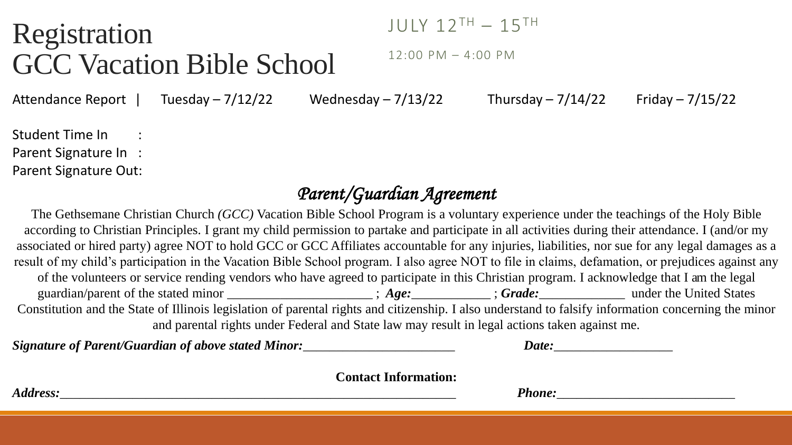## Registration GCC Vacation Bible School

JULY 12TH – 15TH

12:00 PM – 4:00 PM

Attendance Report | Tuesday  $-7/12/22$  Wednesday  $-7/13/22$  Thursday  $-7/14/22$  Friday  $-7/15/22$ 

Student Time In : Parent Signature In : Parent Signature Out:

## *Parent/Guardian Agreement*

The Gethsemane Christian Church *(GCC)* Vacation Bible School Program is a voluntary experience under the teachings of the Holy Bible according to Christian Principles. I grant my child permission to partake and participate in all activities during their attendance. I (and/or my associated or hired party) agree NOT to hold GCC or GCC Affiliates accountable for any injuries, liabilities, nor sue for any legal damages as a result of my child's participation in the Vacation Bible School program. I also agree NOT to file in claims, defamation, or prejudices against any of the volunteers or service rending vendors who have agreed to participate in this Christian program. I acknowledge that I am the legal guardian/parent of the stated minor \_\_\_\_\_\_\_\_\_\_\_\_\_\_\_\_\_\_\_\_\_\_ ; *Age:*\_\_\_\_\_\_\_\_\_\_\_\_ ; *Grade:*\_\_\_\_\_\_\_\_\_\_\_\_\_ under the United States Constitution and the State of Illinois legislation of parental rights and citizenship. I also understand to falsify information concerning the minor and parental rights under Federal and State law may result in legal actions taken against me.

*Signature of Parent/Guardian of above stated Minor:*  $\Box$  *Date:*  $\Box$  *Date:* 

**Contact Information:** 

*Address:\_\_\_\_\_\_\_\_\_\_\_\_\_\_\_\_\_\_\_\_\_\_\_\_\_\_\_\_\_\_\_\_\_\_\_\_\_\_\_\_\_\_\_\_\_\_\_\_\_\_\_\_\_\_\_\_\_\_\_\_ Phone:\_\_\_\_\_\_\_\_\_\_\_\_\_\_\_\_\_\_\_\_\_\_\_\_\_\_\_*